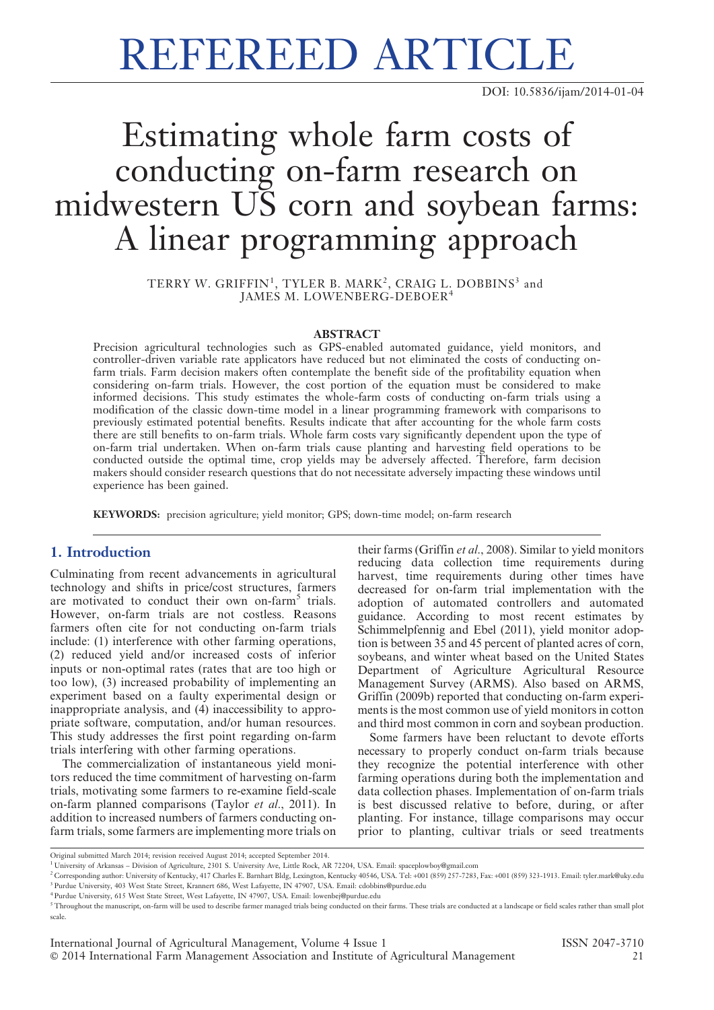# REFEREED ARTICLE

DOI: 10.5836/ijam/2014-01-04

# Estimating whole farm costs of conducting on-farm research on midwestern US corn and soybean farms: A linear programming approach

 $\mathrm{TERRY}$  W. GRIFFIN $^1,$  TYLER B. MARK $^2,$  CRAIG L. DOBBINS $^3$  and JAMES M. LOWENBERG-DEBOER<sup>4</sup>

#### ABSTRACT

Precision agricultural technologies such as GPS-enabled automated guidance, yield monitors, and controller-driven variable rate applicators have reduced but not eliminated the costs of conducting onfarm trials. Farm decision makers often contemplate the benefit side of the profitability equation when considering on-farm trials. However, the cost portion of the equation must be considered to make informed decisions. This study estimates the whole-farm costs of conducting on-farm trials using a modification of the classic down-time model in a linear programming framework with comparisons to previously estimated potential benefits. Results indicate that after accounting for the whole farm costs there are still benefits to on-farm trials. Whole farm costs vary significantly dependent upon the type of on-farm trial undertaken. When on-farm trials cause planting and harvesting field operations to be conducted outside the optimal time, crop yields may be adversely affected. Therefore, farm decision makers should consider research questions that do not necessitate adversely impacting these windows until experience has been gained.

KEYWORDS: precision agriculture; yield monitor; GPS; down-time model; on-farm research

#### 1. Introduction

Culminating from recent advancements in agricultural technology and shifts in price/cost structures, farmers are motivated to conduct their own on-farm<sup>5</sup> trials. However, on-farm trials are not costless. Reasons farmers often cite for not conducting on-farm trials include: (1) interference with other farming operations, (2) reduced yield and/or increased costs of inferior inputs or non-optimal rates (rates that are too high or too low), (3) increased probability of implementing an experiment based on a faulty experimental design or inappropriate analysis, and (4) inaccessibility to appropriate software, computation, and/or human resources. This study addresses the first point regarding on-farm trials interfering with other farming operations.

The commercialization of instantaneous yield monitors reduced the time commitment of harvesting on-farm trials, motivating some farmers to re-examine field-scale on-farm planned comparisons (Taylor et al., 2011). In addition to increased numbers of farmers conducting onfarm trials, some farmers are implementing more trials on their farms (Griffin et al., 2008). Similar to yield monitors reducing data collection time requirements during harvest, time requirements during other times have decreased for on-farm trial implementation with the adoption of automated controllers and automated guidance. According to most recent estimates by Schimmelpfennig and Ebel (2011), yield monitor adoption is between 35 and 45 percent of planted acres of corn, soybeans, and winter wheat based on the United States Department of Agriculture Agricultural Resource Management Survey (ARMS). Also based on ARMS, Griffin (2009b) reported that conducting on-farm experiments is the most common use of yield monitors in cotton and third most common in corn and soybean production.

Some farmers have been reluctant to devote efforts necessary to properly conduct on-farm trials because they recognize the potential interference with other farming operations during both the implementation and data collection phases. Implementation of on-farm trials is best discussed relative to before, during, or after planting. For instance, tillage comparisons may occur prior to planting, cultivar trials or seed treatments

Original submitted March 2014; revision received August 2014; accepted September 2014.

<sup>1</sup> University of Arkansas – Division of Agriculture, 2301 S. University Ave, Little Rock, AR 72204, USA. Email: spaceplowboy@gmail.com

<sup>2</sup> Corresponding author: University of Kentucky, 417 Charles E. Barnhart Bldg, Lexington, Kentucky 40546, USA. Tel: +001 (859) 257-7283, Fax: +001 (859) 323-1913. Email: tyler.mark@uky.edu <sup>3</sup> Purdue University, 403 West State Street, Krannert 686, West Lafayette, IN 47907, USA. Email: cdobbins@purdue.edu

<sup>4</sup> Purdue University, 615 West State Street, West Lafayette, IN 47907, USA. Email: lowenbej@purdue.edu

 $5$  Throughout the manuscript, on-farm will be used to describe farmer managed trials being conducted on their farms. These trials are conducted at a landscape or field scales rather than small plot scale.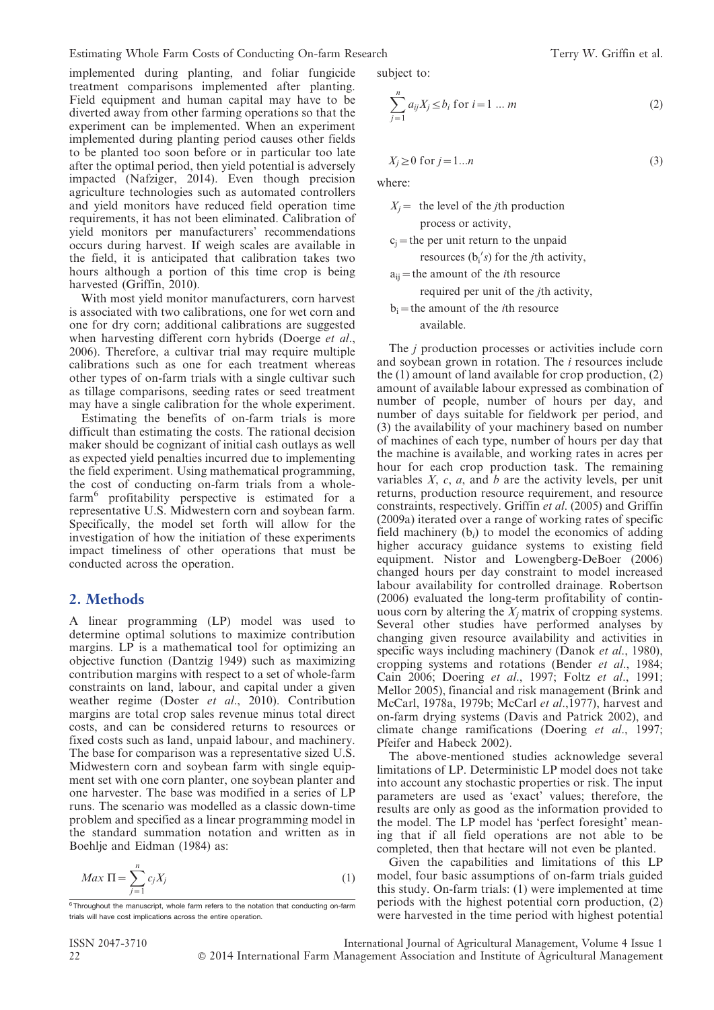Estimating Whole Farm Costs of Conducting On-farm Research Terry W. Griffin et al.

implemented during planting, and foliar fungicide treatment comparisons implemented after planting. Field equipment and human capital may have to be diverted away from other farming operations so that the experiment can be implemented. When an experiment implemented during planting period causes other fields to be planted too soon before or in particular too late after the optimal period, then yield potential is adversely impacted (Nafziger, 2014). Even though precision agriculture technologies such as automated controllers and yield monitors have reduced field operation time requirements, it has not been eliminated. Calibration of yield monitors per manufacturers' recommendations occurs during harvest. If weigh scales are available in the field, it is anticipated that calibration takes two hours although a portion of this time crop is being harvested (Griffin, 2010).

With most yield monitor manufacturers, corn harvest is associated with two calibrations, one for wet corn and one for dry corn; additional calibrations are suggested when harvesting different corn hybrids (Doerge et al., 2006). Therefore, a cultivar trial may require multiple calibrations such as one for each treatment whereas other types of on-farm trials with a single cultivar such as tillage comparisons, seeding rates or seed treatment may have a single calibration for the whole experiment.

Estimating the benefits of on-farm trials is more difficult than estimating the costs. The rational decision maker should be cognizant of initial cash outlays as well as expected yield penalties incurred due to implementing the field experiment. Using mathematical programming, the cost of conducting on-farm trials from a wholefarm<sup>6</sup> profitability perspective is estimated for a representative U.S. Midwestern corn and soybean farm. Specifically, the model set forth will allow for the investigation of how the initiation of these experiments impact timeliness of other operations that must be conducted across the operation.

#### 2. Methods

A linear programming (LP) model was used to determine optimal solutions to maximize contribution margins. LP is a mathematical tool for optimizing an objective function (Dantzig 1949) such as maximizing contribution margins with respect to a set of whole-farm constraints on land, labour, and capital under a given weather regime (Doster et al., 2010). Contribution margins are total crop sales revenue minus total direct costs, and can be considered returns to resources or fixed costs such as land, unpaid labour, and machinery. The base for comparison was a representative sized U.S. Midwestern corn and soybean farm with single equipment set with one corn planter, one soybean planter and one harvester. The base was modified in a series of LP runs. The scenario was modelled as a classic down-time problem and specified as a linear programming model in the standard summation notation and written as in Boehlje and Eidman (1984) as:

$$
Max \Pi = \sum_{j=1}^{n} c_j X_j \tag{1}
$$

subject to:

$$
\sum_{j=1}^{n} a_{ij} X_j \le b_i \text{ for } i = 1 \dots m
$$
 (2)

$$
X_j \ge 0 \text{ for } j = 1...n
$$
 (3)

where:

 $X_i$  = the level of the *i*th production

process or activity,

 $c<sub>i</sub>$  = the per unit return to the unpaid resources  $(b'_i/s)$  for the *j*th activity,

 $a_{ii}$  = the amount of the *i*th resource required per unit of the jth activity,

 $b_i$  = the amount of the *i*th resource available:

The *i* production processes or activities include corn and soybean grown in rotation. The i resources include the (1) amount of land available for crop production, (2) amount of available labour expressed as combination of number of people, number of hours per day, and number of days suitable for fieldwork per period, and (3) the availability of your machinery based on number of machines of each type, number of hours per day that the machine is available, and working rates in acres per hour for each crop production task. The remaining variables  $X$ ,  $c$ ,  $a$ , and  $b$  are the activity levels, per unit returns, production resource requirement, and resource constraints, respectively. Griffin et al. (2005) and Griffin (2009a) iterated over a range of working rates of specific field machinery  $(b_i)$  to model the economics of adding higher accuracy guidance systems to existing field equipment. Nistor and Lowengberg-DeBoer (2006) changed hours per day constraint to model increased labour availability for controlled drainage. Robertson (2006) evaluated the long-term profitability of continuous corn by altering the  $X_i$  matrix of cropping systems. Several other studies have performed analyses by changing given resource availability and activities in specific ways including machinery (Danok et al., 1980), cropping systems and rotations (Bender et al., 1984; Cain 2006; Doering et al., 1997; Foltz et al., 1991; Mellor 2005), financial and risk management (Brink and McCarl, 1978a, 1979b; McCarl et al.,1977), harvest and on-farm drying systems (Davis and Patrick 2002), and climate change ramifications (Doering et al., 1997; Pfeifer and Habeck 2002).

The above-mentioned studies acknowledge several limitations of LP. Deterministic LP model does not take into account any stochastic properties or risk. The input parameters are used as 'exact' values; therefore, the results are only as good as the information provided to the model. The LP model has 'perfect foresight' meaning that if all field operations are not able to be completed, then that hectare will not even be planted.

Given the capabilities and limitations of this LP model, four basic assumptions of on-farm trials guided this study. On-farm trials: (1) were implemented at time periods with the highest potential corn production, (2) were harvested in the time period with highest potential

 $6$ Throughout the manuscript, whole farm refers to the notation that conducting on-farm trials will have cost implications across the entire operation.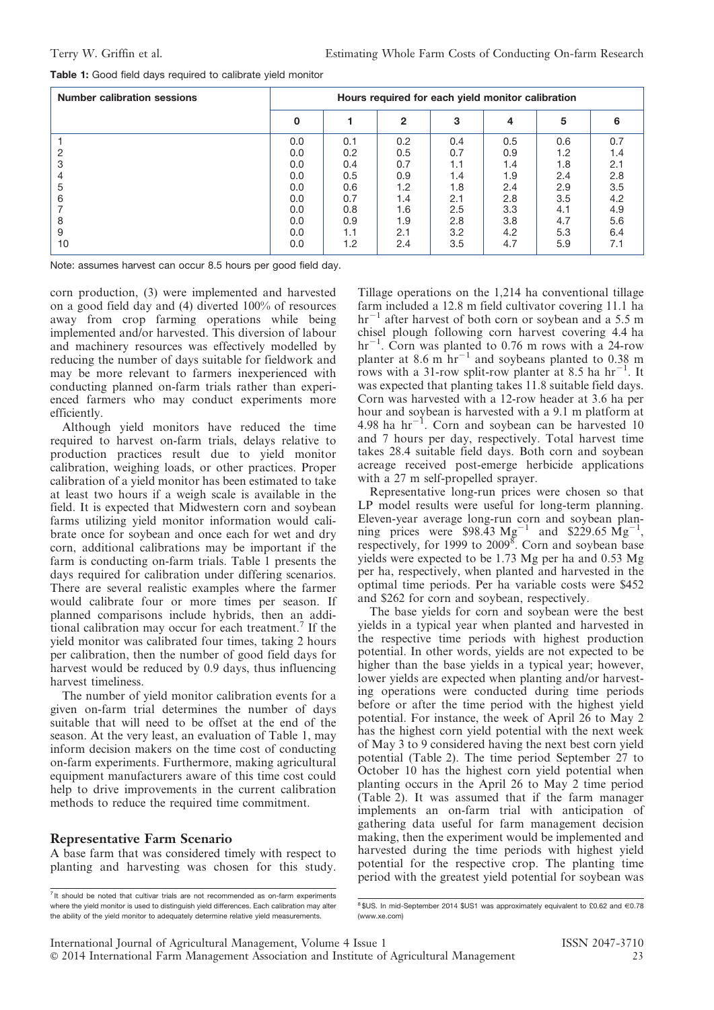|  |  |  |  |  |  | <b>Table 1:</b> Good field days required to calibrate yield monitor |  |  |
|--|--|--|--|--|--|---------------------------------------------------------------------|--|--|
|--|--|--|--|--|--|---------------------------------------------------------------------|--|--|

| <b>Number calibration sessions</b> | Hours required for each yield monitor calibration           |                                                             |                                                             |                                                             |                                                             |                                                             |                                                             |
|------------------------------------|-------------------------------------------------------------|-------------------------------------------------------------|-------------------------------------------------------------|-------------------------------------------------------------|-------------------------------------------------------------|-------------------------------------------------------------|-------------------------------------------------------------|
|                                    | 0                                                           |                                                             | 2                                                           | з                                                           | 4                                                           | 5                                                           | 6                                                           |
| З<br>5<br>6<br>8<br>9              | 0.0<br>0.0<br>0.0<br>0.0<br>0.0<br>0.0<br>0.0<br>0.0<br>0.0 | 0.1<br>0.2<br>0.4<br>0.5<br>0.6<br>0.7<br>0.8<br>0.9<br>1.1 | 0.2<br>0.5<br>0.7<br>0.9<br>1.2<br>1.4<br>1.6<br>1.9<br>2.1 | 0.4<br>0.7<br>1.1<br>1.4<br>1.8<br>2.1<br>2.5<br>2.8<br>3.2 | 0.5<br>0.9<br>1.4<br>1.9<br>2.4<br>2.8<br>3.3<br>3.8<br>4.2 | 0.6<br>1.2<br>1.8<br>2.4<br>2.9<br>3.5<br>4.1<br>4.7<br>5.3 | 0.7<br>1.4<br>2.1<br>2.8<br>3.5<br>4.2<br>4.9<br>5.6<br>6.4 |
| 10                                 | 0.0                                                         | 1.2                                                         | 2.4                                                         | 3.5                                                         | 4.7                                                         | 5.9                                                         | 7.1                                                         |

Note: assumes harvest can occur 8.5 hours per good field day.

corn production, (3) were implemented and harvested on a good field day and (4) diverted 100% of resources away from crop farming operations while being implemented and/or harvested. This diversion of labour and machinery resources was effectively modelled by reducing the number of days suitable for fieldwork and may be more relevant to farmers inexperienced with conducting planned on-farm trials rather than experienced farmers who may conduct experiments more efficiently.

Although yield monitors have reduced the time required to harvest on-farm trials, delays relative to production practices result due to yield monitor calibration, weighing loads, or other practices. Proper calibration of a yield monitor has been estimated to take at least two hours if a weigh scale is available in the field. It is expected that Midwestern corn and soybean farms utilizing yield monitor information would calibrate once for soybean and once each for wet and dry corn, additional calibrations may be important if the farm is conducting on-farm trials. Table 1 presents the days required for calibration under differing scenarios. There are several realistic examples where the farmer would calibrate four or more times per season. If planned comparisons include hybrids, then an additional calibration may occur for each treatment.<sup>7</sup> If the yield monitor was calibrated four times, taking 2 hours per calibration, then the number of good field days for harvest would be reduced by 0.9 days, thus influencing harvest timeliness.

The number of yield monitor calibration events for a given on-farm trial determines the number of days suitable that will need to be offset at the end of the season. At the very least, an evaluation of Table 1, may inform decision makers on the time cost of conducting on-farm experiments. Furthermore, making agricultural equipment manufacturers aware of this time cost could help to drive improvements in the current calibration methods to reduce the required time commitment.

#### Representative Farm Scenario

A base farm that was considered timely with respect to planting and harvesting was chosen for this study. Tillage operations on the 1,214 ha conventional tillage farm included a 12.8 m field cultivator covering 11.1 ha  $hr^{-1}$  after harvest of both corn or soybean and a 5.5 m chisel plough following corn harvest covering 4.4 ha  $hr^{-1}$ . Corn was planted to 0.76 m rows with a 24-row planter at  $8.6 \text{ m}^2$  hr<sup>-1</sup> and soybeans planted to 0.38 m rows with a 31-row split-row planter at 8.5 ha  $hr^{-1}$ . It was expected that planting takes 11.8 suitable field days. Corn was harvested with a 12-row header at 3.6 ha per hour and soybean is harvested with a 9.1 m platform at 4.98 ha  $hr^{-1}$ . Corn and soybean can be harvested 10 and 7 hours per day, respectively. Total harvest time takes 28.4 suitable field days. Both corn and soybean acreage received post-emerge herbicide applications with a 27 m self-propelled sprayer.

Representative long-run prices were chosen so that LP model results were useful for long-term planning. Eleven-year average long-run corn and soybean planning prices were \$98.43  $Mg^{-1}$  and \$229.65  $Mg^{-1}$ , respectively, for 1999 to 2009<sup>8</sup>. Corn and soybean base yields were expected to be 1.73 Mg per ha and 0.53 Mg per ha, respectively, when planted and harvested in the optimal time periods. Per ha variable costs were \$452 and \$262 for corn and soybean, respectively.

The base yields for corn and soybean were the best yields in a typical year when planted and harvested in the respective time periods with highest production potential. In other words, yields are not expected to be higher than the base yields in a typical year; however, lower yields are expected when planting and/or harvesting operations were conducted during time periods before or after the time period with the highest yield potential. For instance, the week of April 26 to May 2 has the highest corn yield potential with the next week of May 3 to 9 considered having the next best corn yield potential (Table 2). The time period September 27 to October 10 has the highest corn yield potential when planting occurs in the April 26 to May 2 time period (Table 2). It was assumed that if the farm manager implements an on-farm trial with anticipation of gathering data useful for farm management decision making, then the experiment would be implemented and harvested during the time periods with highest yield potential for the respective crop. The planting time period with the greatest yield potential for soybean was

 $<sup>7</sup>$  It should be noted that cultivar trials are not recommended as on-farm experiments</sup> where the yield monitor is used to distinguish yield differences. Each calibration may alter the ability of the yield monitor to adequately determine relative yield measurements.

 $8$ \$US. In mid-September 2014 \$US1 was approximately equivalent to £0.62 and  $\in$ 0.78 (www.xe.com)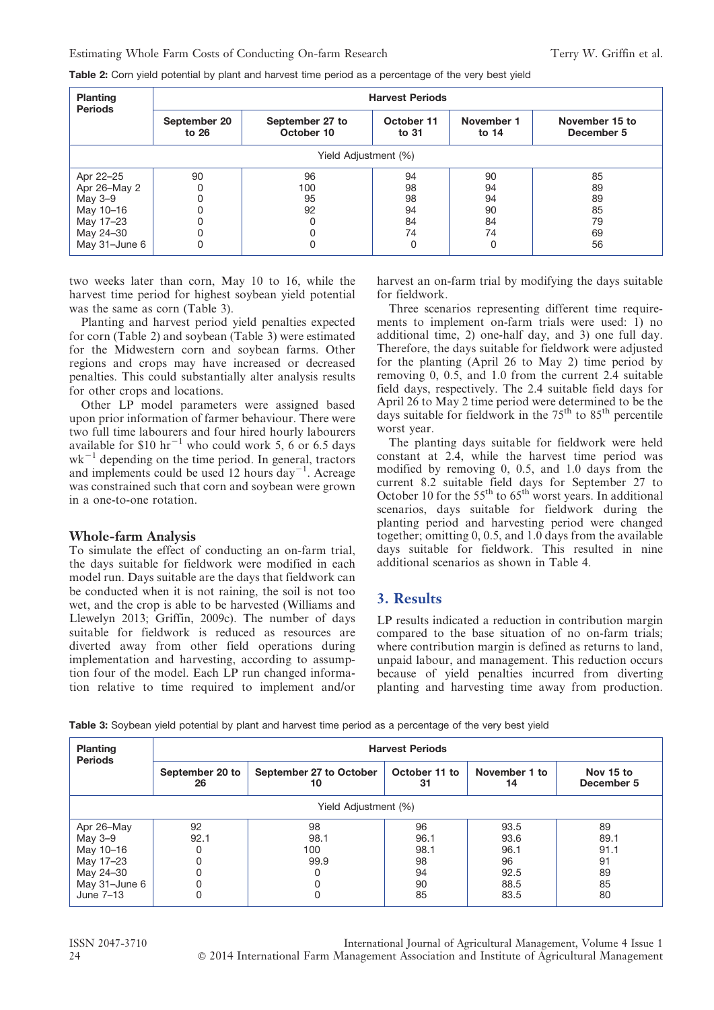Table 2: Corn yield potential by plant and harvest time period as a percentage of the very best yield

| <b>Planting</b><br><b>Periods</b> | <b>Harvest Periods</b> |                               |                       |                       |                              |  |  |  |  |
|-----------------------------------|------------------------|-------------------------------|-----------------------|-----------------------|------------------------------|--|--|--|--|
|                                   | September 20<br>to 26  | September 27 to<br>October 10 | October 11<br>to $31$ | November 1<br>to $14$ | November 15 to<br>December 5 |  |  |  |  |
|                                   | Yield Adjustment (%)   |                               |                       |                       |                              |  |  |  |  |
| Apr 22-25                         | 90                     | 96                            | 94                    | 90                    | 85                           |  |  |  |  |
| Apr 26-May 2                      | 0                      | 100                           | 98                    | 94                    | 89                           |  |  |  |  |
| May 3-9                           | 0                      | 95                            | 98                    | 94                    | 89                           |  |  |  |  |
| May 10-16                         | 0                      | 92                            | 94                    | 90                    | 85                           |  |  |  |  |
| May 17-23                         | 0                      | 0                             | 84                    | 84                    | 79                           |  |  |  |  |
| May 24-30                         | 0                      | 0                             | 74                    | 74                    | 69                           |  |  |  |  |
| May 31-June 6                     | 0                      | 0                             |                       | O                     | 56                           |  |  |  |  |

two weeks later than corn, May 10 to 16, while the harvest time period for highest soybean yield potential was the same as corn (Table 3).

Planting and harvest period yield penalties expected for corn (Table 2) and soybean (Table 3) were estimated for the Midwestern corn and soybean farms. Other regions and crops may have increased or decreased penalties. This could substantially alter analysis results for other crops and locations.

Other LP model parameters were assigned based upon prior information of farmer behaviour. There were two full time labourers and four hired hourly labourers available for  $$10 \text{ hr}^{-1}$  who could work 5, 6 or 6.5 days  $wk^{-1}$  depending on the time period. In general, tractors and implements could be used 12 hours day<sup> $-1$ </sup>. Acreage was constrained such that corn and soybean were grown in a one-to-one rotation.

#### Whole-farm Analysis

To simulate the effect of conducting an on-farm trial, the days suitable for fieldwork were modified in each model run. Days suitable are the days that fieldwork can be conducted when it is not raining, the soil is not too wet, and the crop is able to be harvested (Williams and Llewelyn 2013; Griffin, 2009c). The number of days suitable for fieldwork is reduced as resources are diverted away from other field operations during implementation and harvesting, according to assumption four of the model. Each LP run changed information relative to time required to implement and/or harvest an on-farm trial by modifying the days suitable for fieldwork.

Three scenarios representing different time requirements to implement on-farm trials were used: 1) no additional time, 2) one-half day, and 3) one full day. Therefore, the days suitable for fieldwork were adjusted for the planting (April 26 to May 2) time period by removing 0, 0.5, and 1.0 from the current 2.4 suitable field days, respectively. The 2.4 suitable field days for April 26 to May 2 time period were determined to be the days suitable for fieldwork in the  $75<sup>th</sup>$  to  $85<sup>th</sup>$  percentile worst year.

The planting days suitable for fieldwork were held constant at 2.4, while the harvest time period was modified by removing 0, 0.5, and 1.0 days from the current 8.2 suitable field days for September 27 to October 10 for the  $55<sup>th</sup>$  to 65<sup>th</sup> worst years. In additional scenarios, days suitable for fieldwork during the planting period and harvesting period were changed together; omitting 0, 0.5, and 1.0 days from the available days suitable for fieldwork. This resulted in nine additional scenarios as shown in Table 4.

#### 3. Results

LP results indicated a reduction in contribution margin compared to the base situation of no on-farm trials; where contribution margin is defined as returns to land, unpaid labour, and management. This reduction occurs because of yield penalties incurred from diverting planting and harvesting time away from production.

Table 3: Soybean yield potential by plant and harvest time period as a percentage of the very best yield

| <b>Planting</b><br><b>Periods</b> | <b>Harvest Periods</b> |                                                      |      |                     |                         |  |  |  |
|-----------------------------------|------------------------|------------------------------------------------------|------|---------------------|-------------------------|--|--|--|
|                                   | September 20 to<br>26  | September 27 to October<br>October 11 to<br>31<br>10 |      | November 1 to<br>14 | Nov 15 to<br>December 5 |  |  |  |
| Yield Adjustment (%)              |                        |                                                      |      |                     |                         |  |  |  |
| Apr 26-May                        | 92                     | 98                                                   | 96   | 93.5                | 89                      |  |  |  |
| May 3-9                           | 92.1                   | 98.1                                                 | 96.1 | 93.6                | 89.1                    |  |  |  |
| May 10-16                         |                        | 100                                                  | 98.1 | 96.1                | 91.1                    |  |  |  |
| May 17-23                         |                        | 99.9                                                 | 98   | 96                  | 91                      |  |  |  |
| May 24-30                         |                        |                                                      | 94   | 92.5                | 89                      |  |  |  |
| May 31-June 6                     |                        |                                                      | 90   | 88.5                | 85                      |  |  |  |
| June 7-13                         | 0                      |                                                      | 85   | 83.5                | 80                      |  |  |  |

ISSN 2047-3710 International Journal of Agricultural Management, Volume 4 Issue 1 24 **C** 2014 International Farm Management Association and Institute of Agricultural Management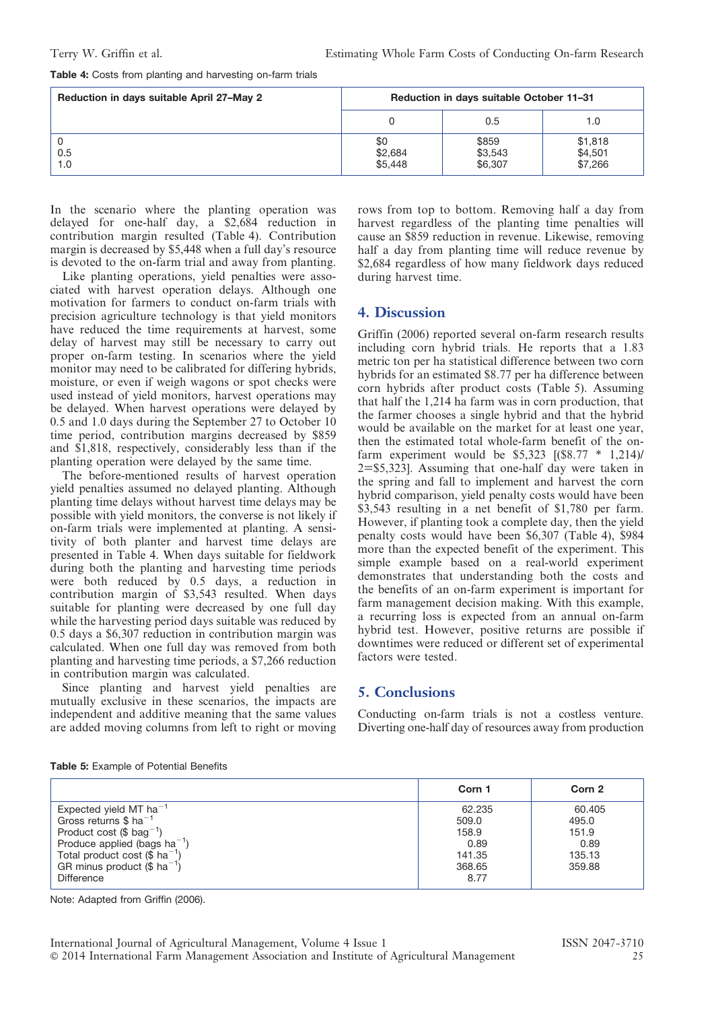| <b>Table 4:</b> Costs from planting and harvesting on-farm trials |  |  |  |  |  |
|-------------------------------------------------------------------|--|--|--|--|--|
|-------------------------------------------------------------------|--|--|--|--|--|

| Reduction in days suitable April 27-May 2 | Reduction in days suitable October 11-31 |                             |                               |  |  |
|-------------------------------------------|------------------------------------------|-----------------------------|-------------------------------|--|--|
|                                           |                                          | 0.5                         | 1.0                           |  |  |
| 0.5<br>1.0                                | \$0<br>\$2,684<br>\$5,448                | \$859<br>\$3,543<br>\$6,307 | \$1,818<br>\$4,501<br>\$7,266 |  |  |

In the scenario where the planting operation was delayed for one-half day, a \$2,684 reduction in contribution margin resulted (Table 4). Contribution margin is decreased by \$5,448 when a full day's resource is devoted to the on-farm trial and away from planting.

Like planting operations, yield penalties were associated with harvest operation delays. Although one motivation for farmers to conduct on-farm trials with precision agriculture technology is that yield monitors have reduced the time requirements at harvest, some delay of harvest may still be necessary to carry out proper on-farm testing. In scenarios where the yield monitor may need to be calibrated for differing hybrids, moisture, or even if weigh wagons or spot checks were used instead of yield monitors, harvest operations may be delayed. When harvest operations were delayed by 0.5 and 1.0 days during the September 27 to October 10 time period, contribution margins decreased by \$859 and \$1,818, respectively, considerably less than if the planting operation were delayed by the same time.

The before-mentioned results of harvest operation yield penalties assumed no delayed planting. Although planting time delays without harvest time delays may be possible with yield monitors, the converse is not likely if on-farm trials were implemented at planting. A sensitivity of both planter and harvest time delays are presented in Table 4. When days suitable for fieldwork during both the planting and harvesting time periods were both reduced by 0.5 days, a reduction in contribution margin of \$3,543 resulted. When days suitable for planting were decreased by one full day while the harvesting period days suitable was reduced by 0.5 days a \$6,307 reduction in contribution margin was calculated. When one full day was removed from both planting and harvesting time periods, a \$7,266 reduction in contribution margin was calculated.

Since planting and harvest yield penalties are mutually exclusive in these scenarios, the impacts are independent and additive meaning that the same values are added moving columns from left to right or moving rows from top to bottom. Removing half a day from harvest regardless of the planting time penalties will cause an \$859 reduction in revenue. Likewise, removing half a day from planting time will reduce revenue by \$2,684 regardless of how many fieldwork days reduced during harvest time.

# 4. Discussion

Griffin (2006) reported several on-farm research results including corn hybrid trials. He reports that a 1.83 metric ton per ha statistical difference between two corn hybrids for an estimated \$8.77 per ha difference between corn hybrids after product costs (Table 5). Assuming that half the 1,214 ha farm was in corn production, that the farmer chooses a single hybrid and that the hybrid would be available on the market for at least one year, then the estimated total whole-farm benefit of the onfarm experiment would be  $$5.323$   $[($8.77 * 1.214)]$ 2=\$5,323]. Assuming that one-half day were taken in the spring and fall to implement and harvest the corn hybrid comparison, yield penalty costs would have been \$3,543 resulting in a net benefit of \$1,780 per farm. However, if planting took a complete day, then the yield penalty costs would have been \$6,307 (Table 4), \$984 more than the expected benefit of the experiment. This simple example based on a real-world experiment demonstrates that understanding both the costs and the benefits of an on-farm experiment is important for farm management decision making. With this example, a recurring loss is expected from an annual on-farm hybrid test. However, positive returns are possible if downtimes were reduced or different set of experimental factors were tested.

## 5. Conclusions

Conducting on-farm trials is not a costless venture. Diverting one-half day of resources away from production

|                                         | Corn 1 | Corn 2 |
|-----------------------------------------|--------|--------|
| Expected yield MT $ha^{-1}$             | 62.235 | 60.405 |
| Gross returns \$ $ha^{-1}$              | 509.0  | 495.0  |
| Product cost (\$ $bag^{-1}$ )           | 158.9  | 151.9  |
| Produce applied (bags $ha^{-1}$ )       | 0.89   | 0.89   |
| Total product cost $(\$ ha^{-1})$       | 141.35 | 135.13 |
| GR minus product $(\$$ ha <sup>-1</sup> | 368.65 | 359.88 |
| <b>Difference</b>                       | 8.77   |        |

Note: Adapted from Griffin (2006).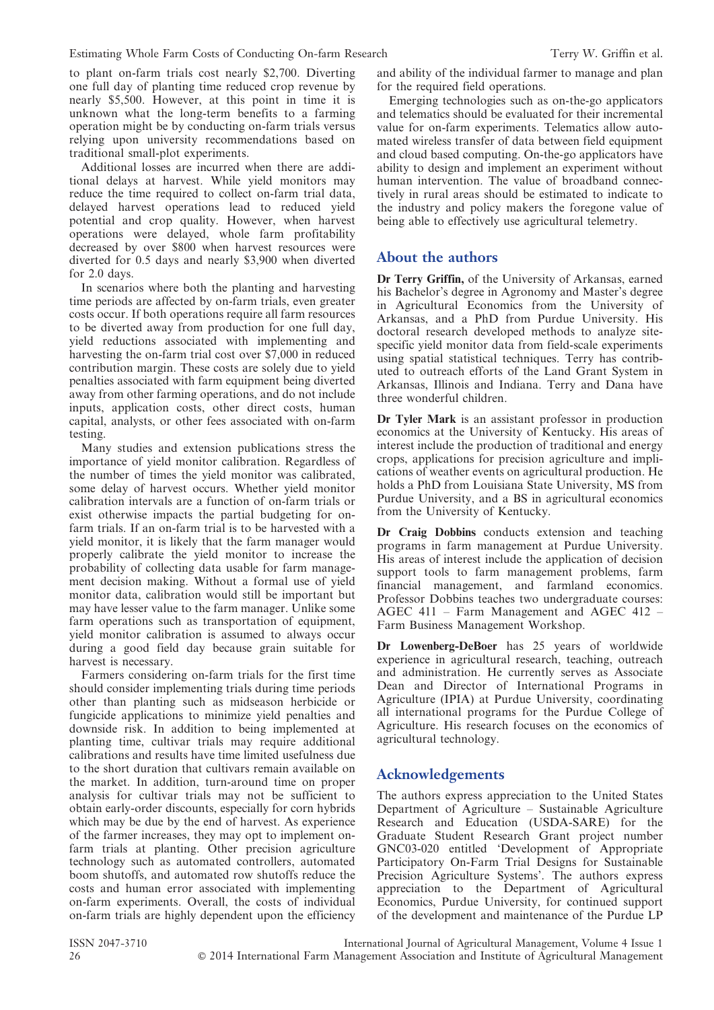to plant on-farm trials cost nearly \$2,700. Diverting one full day of planting time reduced crop revenue by nearly \$5,500. However, at this point in time it is unknown what the long-term benefits to a farming operation might be by conducting on-farm trials versus relying upon university recommendations based on traditional small-plot experiments.

Additional losses are incurred when there are additional delays at harvest. While yield monitors may reduce the time required to collect on-farm trial data, delayed harvest operations lead to reduced yield potential and crop quality. However, when harvest operations were delayed, whole farm profitability decreased by over \$800 when harvest resources were diverted for 0.5 days and nearly \$3,900 when diverted for 2.0 days.

In scenarios where both the planting and harvesting time periods are affected by on-farm trials, even greater costs occur. If both operations require all farm resources to be diverted away from production for one full day, yield reductions associated with implementing and harvesting the on-farm trial cost over \$7,000 in reduced contribution margin. These costs are solely due to yield penalties associated with farm equipment being diverted away from other farming operations, and do not include inputs, application costs, other direct costs, human capital, analysts, or other fees associated with on-farm testing.

Many studies and extension publications stress the importance of yield monitor calibration. Regardless of the number of times the yield monitor was calibrated, some delay of harvest occurs. Whether yield monitor calibration intervals are a function of on-farm trials or exist otherwise impacts the partial budgeting for onfarm trials. If an on-farm trial is to be harvested with a yield monitor, it is likely that the farm manager would properly calibrate the yield monitor to increase the probability of collecting data usable for farm management decision making. Without a formal use of yield monitor data, calibration would still be important but may have lesser value to the farm manager. Unlike some farm operations such as transportation of equipment, yield monitor calibration is assumed to always occur during a good field day because grain suitable for harvest is necessary.

Farmers considering on-farm trials for the first time should consider implementing trials during time periods other than planting such as midseason herbicide or fungicide applications to minimize yield penalties and downside risk. In addition to being implemented at planting time, cultivar trials may require additional calibrations and results have time limited usefulness due to the short duration that cultivars remain available on the market. In addition, turn-around time on proper analysis for cultivar trials may not be sufficient to obtain early-order discounts, especially for corn hybrids which may be due by the end of harvest. As experience of the farmer increases, they may opt to implement onfarm trials at planting. Other precision agriculture technology such as automated controllers, automated boom shutoffs, and automated row shutoffs reduce the costs and human error associated with implementing on-farm experiments. Overall, the costs of individual on-farm trials are highly dependent upon the efficiency and ability of the individual farmer to manage and plan for the required field operations.

Emerging technologies such as on-the-go applicators and telematics should be evaluated for their incremental value for on-farm experiments. Telematics allow automated wireless transfer of data between field equipment and cloud based computing. On-the-go applicators have ability to design and implement an experiment without human intervention. The value of broadband connectively in rural areas should be estimated to indicate to the industry and policy makers the foregone value of being able to effectively use agricultural telemetry.

#### About the authors

Dr Terry Griffin, of the University of Arkansas, earned his Bachelor's degree in Agronomy and Master's degree in Agricultural Economics from the University of Arkansas, and a PhD from Purdue University. His doctoral research developed methods to analyze sitespecific yield monitor data from field-scale experiments using spatial statistical techniques. Terry has contributed to outreach efforts of the Land Grant System in Arkansas, Illinois and Indiana. Terry and Dana have three wonderful children.

Dr Tyler Mark is an assistant professor in production economics at the University of Kentucky. His areas of interest include the production of traditional and energy crops, applications for precision agriculture and implications of weather events on agricultural production. He holds a PhD from Louisiana State University, MS from Purdue University, and a BS in agricultural economics from the University of Kentucky.

Dr Craig Dobbins conducts extension and teaching programs in farm management at Purdue University. His areas of interest include the application of decision support tools to farm management problems, farm financial management, and farmland economics. Professor Dobbins teaches two undergraduate courses: AGEC 411 – Farm Management and AGEC 412 – Farm Business Management Workshop.

Dr Lowenberg-DeBoer has 25 years of worldwide experience in agricultural research, teaching, outreach and administration. He currently serves as Associate Dean and Director of International Programs in Agriculture (IPIA) at Purdue University, coordinating all international programs for the Purdue College of Agriculture. His research focuses on the economics of agricultural technology.

## Acknowledgements

The authors express appreciation to the United States Department of Agriculture – Sustainable Agriculture Research and Education (USDA-SARE) for the Graduate Student Research Grant project number GNC03-020 entitled 'Development of Appropriate Participatory On-Farm Trial Designs for Sustainable Precision Agriculture Systems'. The authors express appreciation to the Department of Agricultural Economics, Purdue University, for continued support of the development and maintenance of the Purdue LP